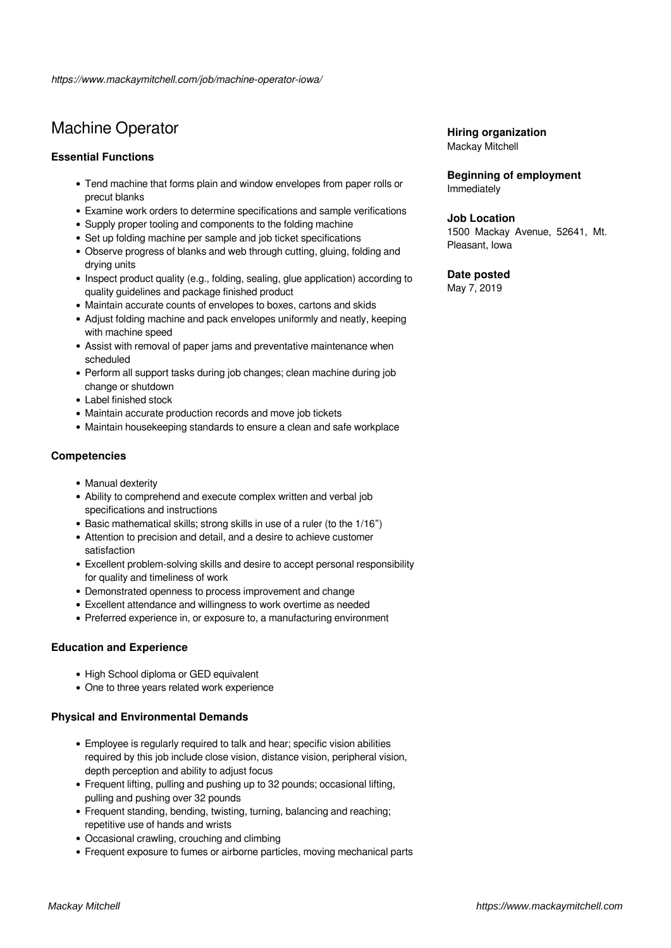# Machine Operator

# **Essential Functions**

- Tend machine that forms plain and window envelopes from paper rolls or precut blanks
- Examine work orders to determine specifications and sample verifications
- Supply proper tooling and components to the folding machine
- Set up folding machine per sample and job ticket specifications
- Observe progress of blanks and web through cutting, gluing, folding and drying units
- Inspect product quality (e.g., folding, sealing, glue application) according to quality guidelines and package finished product
- Maintain accurate counts of envelopes to boxes, cartons and skids
- Adjust folding machine and pack envelopes uniformly and neatly, keeping with machine speed
- Assist with removal of paper jams and preventative maintenance when scheduled
- Perform all support tasks during job changes; clean machine during job change or shutdown
- Label finished stock
- Maintain accurate production records and move job tickets
- Maintain housekeeping standards to ensure a clean and safe workplace

#### **Competencies**

- Manual dexterity
- Ability to comprehend and execute complex written and verbal job specifications and instructions
- Basic mathematical skills; strong skills in use of a ruler (to the 1/16")
- Attention to precision and detail, and a desire to achieve customer satisfaction
- Excellent problem-solving skills and desire to accept personal responsibility for quality and timeliness of work
- Demonstrated openness to process improvement and change
- Excellent attendance and willingness to work overtime as needed
- Preferred experience in, or exposure to, a manufacturing environment

# **Education and Experience**

- High School diploma or GED equivalent
- One to three years related work experience

# **Physical and Environmental Demands**

- Employee is regularly required to talk and hear; specific vision abilities required by this job include close vision, distance vision, peripheral vision, depth perception and ability to adjust focus
- Frequent lifting, pulling and pushing up to 32 pounds; occasional lifting, pulling and pushing over 32 pounds
- Frequent standing, bending, twisting, turning, balancing and reaching; repetitive use of hands and wrists
- Occasional crawling, crouching and climbing
- Frequent exposure to fumes or airborne particles, moving mechanical parts

#### **Hiring organization** Mackay Mitchell

**Beginning of employment** Immediately

### **Job Location**

1500 Mackay Avenue, 52641, Mt. Pleasant, Iowa

#### **Date posted**

May 7, 2019